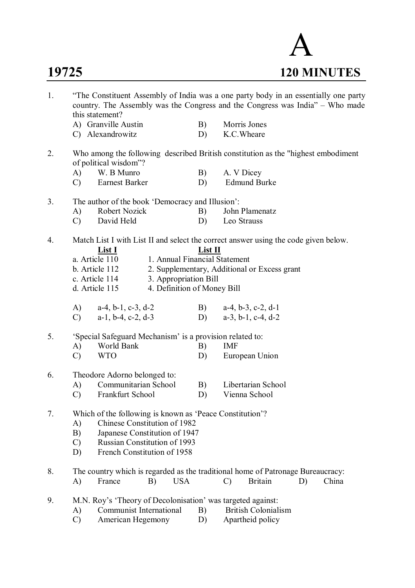

| 1. | "The Constituent Assembly of India was a one party body in an essentially one party<br>country. The Assembly was the Congress and the Congress was India" - Who made<br>this statement? |                                                                                     |                               |                                                                                    |                     |                                              |    |       |  |  |
|----|-----------------------------------------------------------------------------------------------------------------------------------------------------------------------------------------|-------------------------------------------------------------------------------------|-------------------------------|------------------------------------------------------------------------------------|---------------------|----------------------------------------------|----|-------|--|--|
|    |                                                                                                                                                                                         | A) Granville Austin                                                                 | B)                            | Morris Jones                                                                       |                     |                                              |    |       |  |  |
|    |                                                                                                                                                                                         | C) Alexandrowitz                                                                    | D)                            | K.C. Wheare                                                                        |                     |                                              |    |       |  |  |
| 2. |                                                                                                                                                                                         | of political wisdom"?                                                               |                               | Who among the following described British constitution as the "highest embodiment" |                     |                                              |    |       |  |  |
|    | A)                                                                                                                                                                                      | W. B Munro                                                                          |                               |                                                                                    | A. V Dicey          |                                              |    |       |  |  |
|    | $\mathcal{C}$                                                                                                                                                                           | Earnest Barker                                                                      |                               | D)                                                                                 | <b>Edmund Burke</b> |                                              |    |       |  |  |
| 3. | The author of the book 'Democracy and Illusion':                                                                                                                                        |                                                                                     |                               |                                                                                    |                     |                                              |    |       |  |  |
|    | A)                                                                                                                                                                                      | Robert Nozick                                                                       |                               | B)                                                                                 | John Plamenatz      |                                              |    |       |  |  |
|    | $\mathcal{C}$                                                                                                                                                                           | David Held                                                                          |                               |                                                                                    | Leo Strauss         |                                              |    |       |  |  |
| 4. |                                                                                                                                                                                         | Match List I with List II and select the correct answer using the code given below. |                               |                                                                                    |                     |                                              |    |       |  |  |
|    |                                                                                                                                                                                         | List I                                                                              |                               | List II                                                                            |                     |                                              |    |       |  |  |
|    |                                                                                                                                                                                         | a. Article 110                                                                      | 1. Annual Financial Statement |                                                                                    |                     |                                              |    |       |  |  |
|    |                                                                                                                                                                                         | b. Article 112                                                                      |                               |                                                                                    |                     | 2. Supplementary, Additional or Excess grant |    |       |  |  |
|    |                                                                                                                                                                                         | c. Article 114                                                                      | 3. Appropriation Bill         |                                                                                    |                     |                                              |    |       |  |  |
|    |                                                                                                                                                                                         | d. Article 115                                                                      | 4. Definition of Money Bill   |                                                                                    |                     |                                              |    |       |  |  |
|    | (A)                                                                                                                                                                                     | $a-4$ , $b-1$ , $c-3$ , $d-2$                                                       |                               |                                                                                    |                     | B) $a-4, b-3, c-2, d-1$                      |    |       |  |  |
|    | $\mathcal{C}$                                                                                                                                                                           | $a-1$ , $b-4$ , $c-2$ , $d-3$                                                       |                               | D)                                                                                 |                     | $a-3$ , $b-1$ , $c-4$ , $d-2$                |    |       |  |  |
| 5. |                                                                                                                                                                                         | 'Special Safeguard Mechanism' is a provision related to:                            |                               |                                                                                    |                     |                                              |    |       |  |  |
|    | A)                                                                                                                                                                                      | World Bank                                                                          |                               | B)                                                                                 | <b>IMF</b>          |                                              |    |       |  |  |
|    | $\mathcal{C}$                                                                                                                                                                           | <b>WTO</b>                                                                          |                               | D)                                                                                 |                     | European Union                               |    |       |  |  |
| 6. |                                                                                                                                                                                         | Theodore Adorno belonged to:                                                        |                               |                                                                                    |                     |                                              |    |       |  |  |
|    | A)                                                                                                                                                                                      | Communitarian School                                                                |                               | B)                                                                                 |                     | Libertarian School                           |    |       |  |  |
|    | $\mathcal{C}$                                                                                                                                                                           | Frankfurt School                                                                    |                               | D)                                                                                 |                     | Vienna School                                |    |       |  |  |
| 7. |                                                                                                                                                                                         | Which of the following is known as 'Peace Constitution'?                            |                               |                                                                                    |                     |                                              |    |       |  |  |
|    | A)                                                                                                                                                                                      | Chinese Constitution of 1982                                                        |                               |                                                                                    |                     |                                              |    |       |  |  |
|    | B)                                                                                                                                                                                      | Japanese Constitution of 1947                                                       |                               |                                                                                    |                     |                                              |    |       |  |  |
|    | $\mathcal{C}$                                                                                                                                                                           | <b>Russian Constitution of 1993</b>                                                 |                               |                                                                                    |                     |                                              |    |       |  |  |
|    | D)                                                                                                                                                                                      | French Constitution of 1958                                                         |                               |                                                                                    |                     |                                              |    |       |  |  |
| 8. |                                                                                                                                                                                         | The country which is regarded as the traditional home of Patronage Bureaucracy:     |                               |                                                                                    |                     |                                              |    |       |  |  |
|    | $\bf{A}$                                                                                                                                                                                | France<br>B)                                                                        | <b>USA</b>                    |                                                                                    | $\mathcal{C}$       | <b>Britain</b>                               | D) | China |  |  |
| 9. |                                                                                                                                                                                         | M.N. Roy's 'Theory of Decolonisation' was targeted against:                         |                               |                                                                                    |                     |                                              |    |       |  |  |
|    | Communist International<br><b>British Colonialism</b><br>B)<br>A)                                                                                                                       |                                                                                     |                               |                                                                                    |                     |                                              |    |       |  |  |
|    | Apartheid policy<br>$\mathcal{C}$<br>American Hegemony<br>D)                                                                                                                            |                                                                                     |                               |                                                                                    |                     |                                              |    |       |  |  |
|    |                                                                                                                                                                                         |                                                                                     |                               |                                                                                    |                     |                                              |    |       |  |  |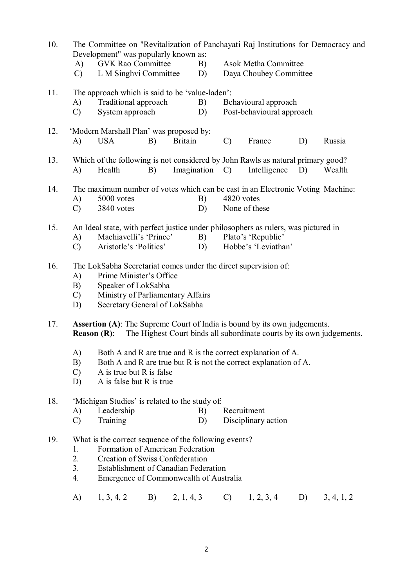| 10. | The Committee on "Revitalization of Panchayati Raj Institutions for Democracy and<br>Development" was popularly known as:<br><b>GVK Rao Committee</b><br><b>Asok Metha Committee</b><br>B)<br>A)<br>L M Singhvi Committee<br>Daya Choubey Committee<br>$\mathcal{C}$<br>D) |  |  |  |  |  |  |  |  |  |
|-----|----------------------------------------------------------------------------------------------------------------------------------------------------------------------------------------------------------------------------------------------------------------------------|--|--|--|--|--|--|--|--|--|
| 11. | The approach which is said to be 'value-laden':<br>Traditional approach<br>A)<br>B)<br>Behavioural approach<br>System approach<br>Post-behavioural approach<br>$\mathcal{C}$<br>D)                                                                                         |  |  |  |  |  |  |  |  |  |
| 12. | 'Modern Marshall Plan' was proposed by:<br><b>Britain</b><br>France<br><b>USA</b><br>B)<br>D)<br>Russia<br>A)<br>$\mathcal{C}$                                                                                                                                             |  |  |  |  |  |  |  |  |  |
| 13. | Which of the following is not considered by John Rawls as natural primary good?<br>Imagination<br>Intelligence<br>Health<br>$\mathcal{C}$<br>D)<br>Wealth<br>A)<br>B)                                                                                                      |  |  |  |  |  |  |  |  |  |
| 14. | The maximum number of votes which can be cast in an Electronic Voting Machine:<br>5000 votes<br>4820 votes<br>A)<br>B)<br>3840 votes<br>None of these<br>$\mathcal{C}$<br>D)                                                                                               |  |  |  |  |  |  |  |  |  |
| 15. | An Ideal state, with perfect justice under philosophers as rulers, was pictured in<br>Plato's 'Republic'<br>Machiavelli's 'Prince'<br>B)<br>A)<br>Aristotle's 'Politics'<br>D)<br>Hobbe's 'Leviathan'<br>$\mathcal{C}$                                                     |  |  |  |  |  |  |  |  |  |
| 16. | The LokSabha Secretariat comes under the direct supervision of:<br>Prime Minister's Office<br>A)<br>Speaker of LokSabha<br>B)<br>Ministry of Parliamentary Affairs<br>$\mathcal{C}$<br>Secretary General of LokSabha<br>D)                                                 |  |  |  |  |  |  |  |  |  |
| 17. | <b>Assertion (A):</b> The Supreme Court of India is bound by its own judgements.<br>The Highest Court binds all subordinate courts by its own judgements.<br><b>Reason</b> $(R)$ :                                                                                         |  |  |  |  |  |  |  |  |  |
|     | Both A and R are true and R is the correct explanation of A.<br>A)<br>B)<br>Both A and R are true but R is not the correct explanation of A.<br>A is true but R is false<br>$\mathcal{C}$<br>A is false but R is true<br>D)                                                |  |  |  |  |  |  |  |  |  |
| 18. | 'Michigan Studies' is related to the study of:<br>Leadership<br>Recruitment<br>A)<br>B)<br>$\mathcal{C}$<br>Training<br>D)<br>Disciplinary action                                                                                                                          |  |  |  |  |  |  |  |  |  |
| 19. | What is the correct sequence of the following events?<br>Formation of American Federation<br>1.<br>2.<br>Creation of Swiss Confederation<br>3 <sub>1</sub><br>Establishment of Canadian Federation<br>4.<br>Emergence of Commonwealth of Australia                         |  |  |  |  |  |  |  |  |  |
|     | $C)$ 1, 2, 3, 4<br>1, 3, 4, 2<br>B) 2, 1, 4, 3<br>3, 4, 1, 2<br>A)<br>D)                                                                                                                                                                                                   |  |  |  |  |  |  |  |  |  |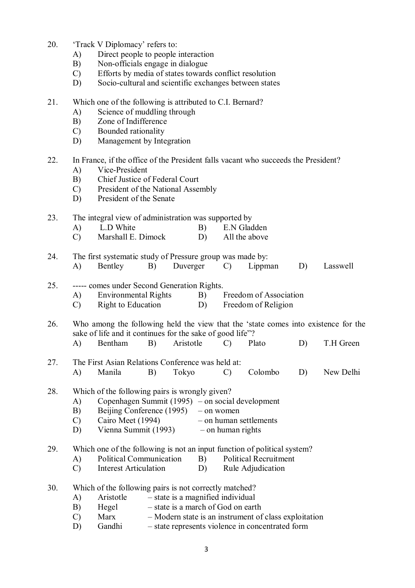- 20. 'Track V Diplomacy' refers to:
	- A) Direct people to people interaction
	- B) Non-officials engage in dialogue
	- C) Efforts by media of states towards conflict resolution
	- D) Socio-cultural and scientific exchanges between states
- 21. Which one of the following is attributed to C.I. Bernard?
	- A) Science of muddling through
	- B) Zone of Indifference
	- C) Bounded rationality
	- D) Management by Integration
- 22. In France, if the office of the President falls vacant who succeeds the President?
	- A) Vice-President
	- B) Chief Justice of Federal Court
	- C) President of the National Assembly
	- D) President of the Senate

## 23. The integral view of administration was supported by

- A) L.D White B) E.N Gladden
- C) Marshall E. Dimock D) All the above
- 24. The first systematic study of Pressure group was made by: A) Bentley B) Duverger C) Lippman D) Lasswell
- 25. ----- comes under Second Generation Rights.
	- A) Environmental Rights B) Freedom of Association
	- C) Right to Education D) Freedom of Religion
- 26. Who among the following held the view that the 'state comes into existence for the sake of life and it continues for the sake of good life"?
	- A) Bentham B) Aristotle C) Plato D) T.H Green
- 27. The First Asian Relations Conference was held at: A) Manila B) Tokyo C) Colombo D) New Delhi
- 28. Which of the following pairs is wrongly given?
	- A) Copenhagen Summit (1995) on social development<br>B) Beijing Conference (1995) on women
	- Beijing Conference (1995) on women
	- C) Cairo Meet (1994) on human settlements
	- D) Vienna Summit (1993) on human rights

## 29. Which one of the following is not an input function of political system?

- A) Political Communication B) Political Recruitment
- C) Interest Articulation D) Rule Adjudication
- 30. Which of the following pairs is not correctly matched?
	- A) Aristotle state is a magnified individual
	- B) Hegel state is a march of God on earth
	- C) Marx Modern state is an instrument of class exploitation
	- D) Gandhi state represents violence in concentrated form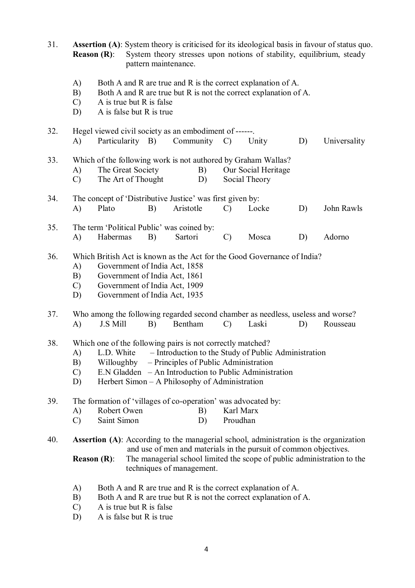31. **Assertion (A)**: System theory is criticised for its ideological basis in favour of status quo. **Reason (R):** System theory stresses upon notions of stability, equilibrium, steady pattern maintenance. A) Both A and R are true and R is the correct explanation of A. B) Both A and R are true but R is not the correct explanation of A.<br>C) A is true but R is false A is true but  $R$  is false D) A is false but R is true 32. Hegel viewed civil society as an embodiment of ------. A) Particularity B) Community C) Unity D) Universality 33. Which of the following work is not authored by Graham Wallas? A) The Great Society B) Our Social Heritage C) The Art of Thought D) Social Theory 34. The concept of 'Distributive Justice' was first given by: A) Plato B) Aristotle C) Locke D) John Rawls 35. The term 'Political Public' was coined by: A) Habermas B) Sartori C) Mosca D) Adorno 36. Which British Act is known as the Act for the Good Governance of India? A) Government of India Act, 1858 B) Government of India Act, 1861 C) Government of India Act, 1909 D) Government of India Act, 1935 37. Who among the following regarded second chamber as needless, useless and worse? A) J.S Mill B) Bentham C) Laski D) Rousseau 38. Which one of the following pairs is not correctly matched? A) L.D. White – Introduction to the Study of Public Administration B) Willoughby – Principles of Public Administration C) E.N Gladden – An Introduction to Public Administration D) Herbert Simon – A Philosophy of Administration 39. The formation of 'villages of co-operation' was advocated by:<br>A) Robert Owen B) Karl Marx A) Robert Owen B) C) Saint Simon D) Proudhan 40. **Assertion (A)**: According to the managerial school, administration is the organization and use of men and materials in the pursuit of common objectives. **Reason (R):** The managerial school limited the scope of public administration to the techniques of management. A) Both A and R are true and R is the correct explanation of A. B) Both A and R are true but R is not the correct explanation of A. C) A is true but R is false

D) A is false but R is true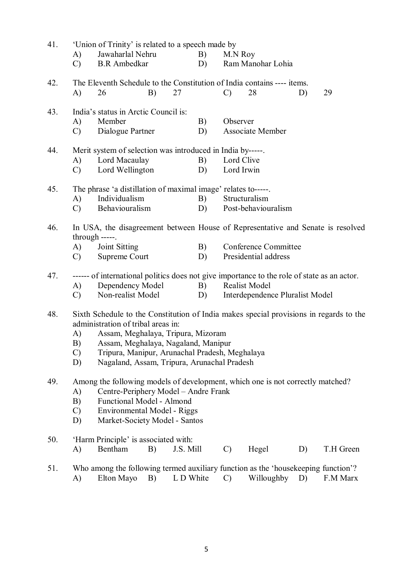| 41. | 'Union of Trinity' is related to a speech made by                                                   |                                                                                   |           |                         |                                 |           |  |  |  |  |  |
|-----|-----------------------------------------------------------------------------------------------------|-----------------------------------------------------------------------------------|-----------|-------------------------|---------------------------------|-----------|--|--|--|--|--|
|     | A)                                                                                                  | Jawaharlal Nehru                                                                  | B)        | M.N Roy                 |                                 |           |  |  |  |  |  |
|     | $\mathcal{C}$                                                                                       | <b>B.R</b> Ambedkar                                                               | D)        | Ram Manohar Lohia       |                                 |           |  |  |  |  |  |
| 42. | The Eleventh Schedule to the Constitution of India contains ---- items.                             |                                                                                   |           |                         |                                 |           |  |  |  |  |  |
|     | A)                                                                                                  | B)<br>26                                                                          | 27        | $\mathcal{C}$<br>28     | D)                              | 29        |  |  |  |  |  |
|     |                                                                                                     |                                                                                   |           |                         |                                 |           |  |  |  |  |  |
| 43. |                                                                                                     | India's status in Arctic Council is:                                              |           |                         |                                 |           |  |  |  |  |  |
|     | A)                                                                                                  | Member                                                                            | B)        | Observer                |                                 |           |  |  |  |  |  |
|     | $\mathcal{C}$                                                                                       | Dialogue Partner                                                                  | D)        | <b>Associate Member</b> |                                 |           |  |  |  |  |  |
| 44. | Merit system of selection was introduced in India by-----                                           |                                                                                   |           |                         |                                 |           |  |  |  |  |  |
|     | Lord Macaulay<br>B)<br>Lord Clive<br>A)                                                             |                                                                                   |           |                         |                                 |           |  |  |  |  |  |
|     | $\mathcal{C}$                                                                                       | Lord Wellington                                                                   | D)        | Lord Irwin              |                                 |           |  |  |  |  |  |
|     |                                                                                                     |                                                                                   |           |                         |                                 |           |  |  |  |  |  |
| 45. | The phrase 'a distillation of maximal image' relates to-----.                                       |                                                                                   |           |                         |                                 |           |  |  |  |  |  |
|     | A)                                                                                                  | Individualism                                                                     | B)        | Structuralism           |                                 |           |  |  |  |  |  |
|     | $\mathcal{C}$                                                                                       | Behaviouralism                                                                    | D)        | Post-behaviouralism     |                                 |           |  |  |  |  |  |
| 46. |                                                                                                     |                                                                                   |           |                         |                                 |           |  |  |  |  |  |
|     | In USA, the disagreement between House of Representative and Senate is resolved<br>$through$ -----. |                                                                                   |           |                         |                                 |           |  |  |  |  |  |
|     | A)                                                                                                  | Joint Sitting                                                                     | B)        | Conference Committee    |                                 |           |  |  |  |  |  |
|     | $\mathcal{C}$                                                                                       | Supreme Court                                                                     | D)        | Presidential address    |                                 |           |  |  |  |  |  |
|     |                                                                                                     |                                                                                   |           |                         |                                 |           |  |  |  |  |  |
| 47. | ------ of international politics does not give importance to the role of state as an actor.         |                                                                                   |           |                         |                                 |           |  |  |  |  |  |
|     | A)                                                                                                  | Dependency Model                                                                  | B)        | <b>Realist Model</b>    |                                 |           |  |  |  |  |  |
|     | $\mathcal{C}$                                                                                       | Non-realist Model                                                                 | D)        |                         | Interdependence Pluralist Model |           |  |  |  |  |  |
| 48. | Sixth Schedule to the Constitution of India makes special provisions in regards to the              |                                                                                   |           |                         |                                 |           |  |  |  |  |  |
|     | administration of tribal areas in:                                                                  |                                                                                   |           |                         |                                 |           |  |  |  |  |  |
|     | Assam, Meghalaya, Tripura, Mizoram<br>A)                                                            |                                                                                   |           |                         |                                 |           |  |  |  |  |  |
|     | B)                                                                                                  | Assam, Meghalaya, Nagaland, Manipur                                               |           |                         |                                 |           |  |  |  |  |  |
|     | $\mathcal{C}$                                                                                       | Tripura, Manipur, Arunachal Pradesh, Meghalaya                                    |           |                         |                                 |           |  |  |  |  |  |
|     | D)                                                                                                  | Nagaland, Assam, Tripura, Arunachal Pradesh                                       |           |                         |                                 |           |  |  |  |  |  |
|     |                                                                                                     |                                                                                   |           |                         |                                 |           |  |  |  |  |  |
| 49. |                                                                                                     | Among the following models of development, which one is not correctly matched?    |           |                         |                                 |           |  |  |  |  |  |
|     | A)                                                                                                  | Centre-Periphery Model - Andre Frank                                              |           |                         |                                 |           |  |  |  |  |  |
|     | <b>Functional Model - Almond</b><br>B)                                                              |                                                                                   |           |                         |                                 |           |  |  |  |  |  |
|     | $\mathcal{C}$<br>Environmental Model - Riggs                                                        |                                                                                   |           |                         |                                 |           |  |  |  |  |  |
|     | D)                                                                                                  | Market-Society Model - Santos                                                     |           |                         |                                 |           |  |  |  |  |  |
| 50. |                                                                                                     | 'Harm Principle' is associated with:                                              |           |                         |                                 |           |  |  |  |  |  |
|     | A)                                                                                                  | Bentham<br>B)                                                                     | J.S. Mill | Hegel<br>$\mathcal{C}$  | D)                              | T.H Green |  |  |  |  |  |
|     |                                                                                                     |                                                                                   |           |                         |                                 |           |  |  |  |  |  |
| 51. |                                                                                                     | Who among the following termed auxiliary function as the 'housekeeping function'? |           |                         |                                 |           |  |  |  |  |  |
|     | A)                                                                                                  | Elton Mayo<br>B)                                                                  | L D White | $\mathcal{C}$           | Willoughby<br>D)                | F.M Marx  |  |  |  |  |  |
|     |                                                                                                     |                                                                                   |           |                         |                                 |           |  |  |  |  |  |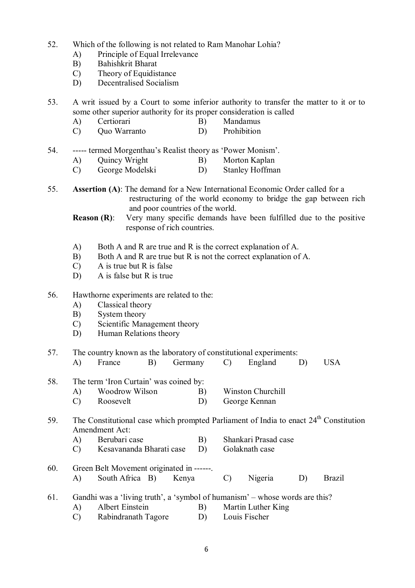- 52. Which of the following is not related to Ram Manohar Lohia?
	- A) Principle of Equal Irrelevance
	- B) Bahishkrit Bharat
	- C) Theory of Equidistance
	- D) Decentralised Socialism
- 53. A writ issued by a Court to some inferior authority to transfer the matter to it or to some other superior authority for its proper consideration is called
	- A) Certiorari B) Mandamus
	- C) Quo Warranto D) Prohibition
- 54. ----- termed Morgenthau's Realist theory as 'Power Monism'.
	- A) Quincy Wright B) Morton Kaplan
	- C) George Modelski D) Stanley Hoffman
- 55. **Assertion (A)**: The demand for a New International Economic Order called for a restructuring of the world economy to bridge the gap between rich and poor countries of the world.
	- **Reason (R):** Very many specific demands have been fulfilled due to the positive response of rich countries.
	- A) Both A and R are true and R is the correct explanation of A.
	- B) Both A and R are true but R is not the correct explanation of A.
	- C) A is true but R is false
	- D) A is false but R is true
- 56. Hawthorne experiments are related to the:
	- A) Classical theory
	- B) System theory
	- C) Scientific Management theory
	- D) Human Relations theory

### 57. The country known as the laboratory of constitutional experiments:

- A) France B) Germany C) England D) USA
- 58. The term 'Iron Curtain' was coined by:
	- A) Woodrow Wilson B) Winston Churchill
	- C) Roosevelt D) George Kennan

# 59. The Constitutional case which prompted Parliament of India to enact  $24<sup>th</sup>$  Constitution Amendment Act:

- A) Berubari case B) Shankari Prasad case
- C) Kesavananda Bharati case D) Golaknath case
- 60. Green Belt Movement originated in ------. A) South Africa B) Kenya C) Nigeria D) Brazil
- 61. Gandhi was a 'living truth', a 'symbol of humanism' whose words are this?
	- A) Albert Einstein B) Martin Luther King
		- C) Rabindranath Tagore D) Louis Fischer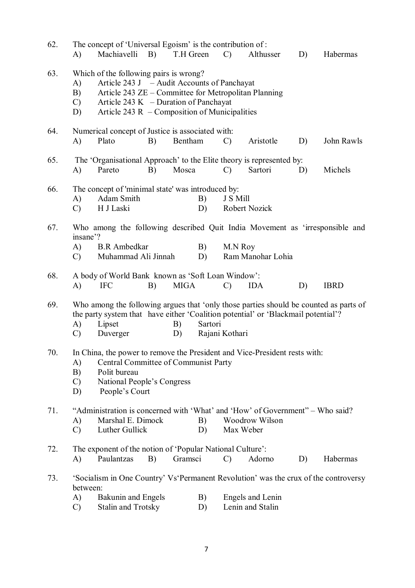| 62. | The concept of 'Universal Egoism' is the contribution of :<br>Machiavelli<br>B)<br>T.H Green<br>A)<br>$\mathcal{C}$<br>Althusser<br>D)                                                                                                                                         |                                                                                                                                 |    |         |          |               |                                      |    | Habermas |  |  |
|-----|--------------------------------------------------------------------------------------------------------------------------------------------------------------------------------------------------------------------------------------------------------------------------------|---------------------------------------------------------------------------------------------------------------------------------|----|---------|----------|---------------|--------------------------------------|----|----------|--|--|
| 63. | Which of the following pairs is wrong?<br>Article 243 J – Audit Accounts of Panchayat<br>A)<br>B)<br>Article 243 ZE - Committee for Metropolitan Planning<br>Article 243 K $-$ Duration of Panchayat<br>$\mathcal{C}$<br>Article 243 $R$ – Composition of Municipalities<br>D) |                                                                                                                                 |    |         |          |               |                                      |    |          |  |  |
| 64. | A)                                                                                                                                                                                                                                                                             | Numerical concept of Justice is associated with:<br>Plato<br>Bentham<br>Aristotle<br>John Rawls<br>B)<br>D)<br>$\mathcal{C}$    |    |         |          |               |                                      |    |          |  |  |
| 65. | A)                                                                                                                                                                                                                                                                             | The 'Organisational Approach' to the Elite theory is represented by:<br>Pareto                                                  | B) | Sartori | D)       | Michels       |                                      |    |          |  |  |
| 66. | The concept of 'minimal state' was introduced by:<br>Adam Smith<br>B)<br>J S Mill<br>A)<br>H J Laski<br>Robert Nozick<br>$\mathcal{C}$<br>D)                                                                                                                                   |                                                                                                                                 |    |         |          |               |                                      |    |          |  |  |
| 67. | Who among the following described Quit India Movement as 'irresponsible and<br>insane'?<br><b>B.R</b> Ambedkar<br>B)<br>A)<br>M.N Roy<br>Ram Manohar Lohia<br>Muhammad Ali Jinnah<br>D)<br>$\mathcal{C}$                                                                       |                                                                                                                                 |    |         |          |               |                                      |    |          |  |  |
| 68. | A body of World Bank known as 'Soft Loan Window':<br><b>MIGA</b><br><b>IFC</b><br>B)<br><b>IDA</b><br>A)<br>D)<br><b>IBRD</b><br>$\mathcal{C}$                                                                                                                                 |                                                                                                                                 |    |         |          |               |                                      |    |          |  |  |
| 69. | Who among the following argues that 'only those parties should be counted as parts of<br>the party system that have either 'Coalition potential' or 'Blackmail potential'?<br>A)<br>Lipset<br>Sartori<br>B)<br>Rajani Kothari<br>Duverger<br>C)<br>D)                          |                                                                                                                                 |    |         |          |               |                                      |    |          |  |  |
| 70. | In China, the power to remove the President and Vice-President rests with:<br>A)<br>Central Committee of Communist Party<br>B)<br>Polit bureau<br>National People's Congress<br>$\mathcal{C}$<br>D)<br>People's Court                                                          |                                                                                                                                 |    |         |          |               |                                      |    |          |  |  |
| 71. | "Administration is concerned with 'What' and 'How' of Government" - Who said?<br>Marshal E. Dimock<br>Woodrow Wilson<br>A)<br>B)<br>Luther Gullick<br>Max Weber<br>D)<br>$\mathcal{C}$                                                                                         |                                                                                                                                 |    |         |          |               |                                      |    |          |  |  |
| 72. | A)                                                                                                                                                                                                                                                                             | The exponent of the notion of 'Popular National Culture':<br>Paulantzas                                                         | B) | Gramsci |          | $\mathcal{C}$ | Adorno                               | D) | Habermas |  |  |
| 73. | between:<br>A)<br>$\mathcal{C}$                                                                                                                                                                                                                                                | 'Socialism in One Country' Vs'Permanent Revolution' was the crux of the controversy<br>Bakunin and Engels<br>Stalin and Trotsky |    |         | B)<br>D) |               | Engels and Lenin<br>Lenin and Stalin |    |          |  |  |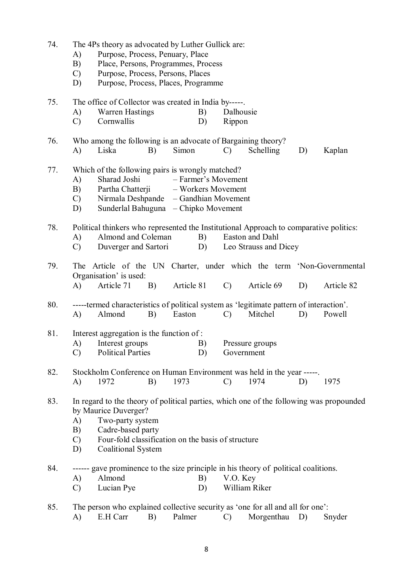| 74. | The 4Ps theory as advocated by Luther Gullick are:<br>Purpose, Process, Penuary, Place<br>A)<br>Place, Persons, Programmes, Process<br>B)<br>$\mathcal{C}$<br>Purpose, Process, Persons, Places<br>Purpose, Process, Places, Programme<br>D)                            |  |  |  |  |  |  |  |  |
|-----|-------------------------------------------------------------------------------------------------------------------------------------------------------------------------------------------------------------------------------------------------------------------------|--|--|--|--|--|--|--|--|
| 75. | The office of Collector was created in India by-----.<br><b>Warren Hastings</b><br>Dalhousie<br>B)<br>A)<br>Cornwallis<br>D)<br>$\mathcal{C}$<br>Rippon                                                                                                                 |  |  |  |  |  |  |  |  |
| 76. | Who among the following is an advocate of Bargaining theory?<br>Simon<br>Liska<br>B)<br>$\mathcal{C}$<br>Schelling<br>A)<br>D)<br>Kaplan                                                                                                                                |  |  |  |  |  |  |  |  |
| 77. | Which of the following pairs is wrongly matched?<br>Sharad Joshi<br>- Farmer's Movement<br>A)<br>Partha Chatterji<br>B)<br>- Workers Movement<br>Nirmala Deshpande — Gandhian Movement<br>$\mathcal{C}$<br>Sunderlal Bahuguna - Chipko Movement<br>D)                   |  |  |  |  |  |  |  |  |
| 78. | Political thinkers who represented the Institutional Approach to comparative politics:<br>Almond and Coleman<br>Easton and Dahl<br>B)<br>A)<br>Leo Strauss and Dicey<br>$\mathcal{C}$<br>Duverger and Sartori<br>D)                                                     |  |  |  |  |  |  |  |  |
| 79. | The Article of the UN Charter, under which the term 'Non-Governmental<br>Organisation' is used:<br>Article 81<br>Article 71<br>B)<br>$\mathcal{C}$<br>Article 69<br>D)<br>A)<br>Article 82                                                                              |  |  |  |  |  |  |  |  |
| 80. | -----termed characteristics of political system as 'legitimate pattern of interaction'.<br>Mitchel<br>Almond<br>Easton<br>Powell<br>A)<br>B)<br>$\mathcal{C}$<br>D)                                                                                                     |  |  |  |  |  |  |  |  |
| 81. | Interest aggregation is the function of:<br>A)<br>Interest groups<br>B)<br>Pressure groups<br><b>Political Parties</b><br>D)<br>$\mathcal{C}$<br>Government                                                                                                             |  |  |  |  |  |  |  |  |
| 82. | Stockholm Conference on Human Environment was held in the year -----.<br>1972<br>1973<br>$\mathcal{C}$<br>1974<br>A)<br>B)<br>1975<br>D)                                                                                                                                |  |  |  |  |  |  |  |  |
| 83. | In regard to the theory of political parties, which one of the following was propounded<br>by Maurice Duverger?<br>Two-party system<br>A)<br>Cadre-based party<br>B)<br>Four-fold classification on the basis of structure<br>$\mathcal{C}$<br>Coalitional System<br>D) |  |  |  |  |  |  |  |  |
| 84. | ------ gave prominence to the size principle in his theory of political coalitions.<br>Almond<br>V.O. Key<br>A)<br>B)<br>William Riker<br>Lucian Pye<br>$\mathcal{C}$<br>D)                                                                                             |  |  |  |  |  |  |  |  |
| 85. | The person who explained collective security as 'one for all and all for one':<br>A)<br>E.H Carr<br>B)<br>Palmer<br>Morgenthau<br>D)<br>$\mathcal{C}$<br>Snyder                                                                                                         |  |  |  |  |  |  |  |  |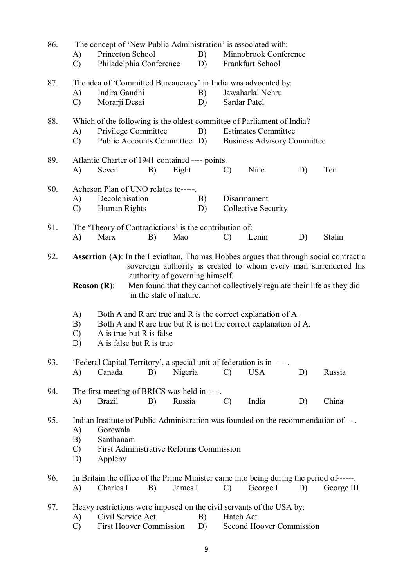| 86. | A)<br>$\mathcal{C}$                                                                                                                                                                                                         | Princeton School                                                                                                                                                                                        | Philadelphia Conference                                      |         | B)<br>D) | The concept of 'New Public Administration' is associated with:<br>Minnobrook Conference<br>Frankfurt School |                                                                                                    |    |                                                                                                                                                                  |  |  |
|-----|-----------------------------------------------------------------------------------------------------------------------------------------------------------------------------------------------------------------------------|---------------------------------------------------------------------------------------------------------------------------------------------------------------------------------------------------------|--------------------------------------------------------------|---------|----------|-------------------------------------------------------------------------------------------------------------|----------------------------------------------------------------------------------------------------|----|------------------------------------------------------------------------------------------------------------------------------------------------------------------|--|--|
| 87. | A)<br>$\mathcal{C}$                                                                                                                                                                                                         | The idea of 'Committed Bureaucracy' in India was advocated by:<br>Indira Gandhi<br>Jawaharlal Nehru<br>B)<br>Morarji Desai<br>D)<br>Sardar Patel                                                        |                                                              |         |          |                                                                                                             |                                                                                                    |    |                                                                                                                                                                  |  |  |
| 88. | A)<br>$\mathcal{C}$                                                                                                                                                                                                         | Which of the following is the oldest committee of Parliament of India?<br>Privilege Committee<br><b>Estimates Committee</b><br>B)<br>Public Accounts Committee D)<br><b>Business Advisory Committee</b> |                                                              |         |          |                                                                                                             |                                                                                                    |    |                                                                                                                                                                  |  |  |
| 89. | A)                                                                                                                                                                                                                          | Seven                                                                                                                                                                                                   | Atlantic Charter of 1941 contained ---- points.<br>B)        | Eight   |          | $\mathcal{C}$                                                                                               | Nine                                                                                               | D) | Ten                                                                                                                                                              |  |  |
| 90. | A)<br>$\mathcal{C}$                                                                                                                                                                                                         | Decolonisation<br>Human Rights                                                                                                                                                                          | Acheson Plan of UNO relates to-----                          |         | B)<br>D) |                                                                                                             | Disarmament<br><b>Collective Security</b>                                                          |    |                                                                                                                                                                  |  |  |
| 91. | A)                                                                                                                                                                                                                          | Marx                                                                                                                                                                                                    | The 'Theory of Contradictions' is the contribution of:<br>B) | Mao     |          | $\mathcal{C}$                                                                                               | Lenin                                                                                              | D) | <b>Stalin</b>                                                                                                                                                    |  |  |
| 92. |                                                                                                                                                                                                                             |                                                                                                                                                                                                         | authority of governing himself.                              |         |          |                                                                                                             |                                                                                                    |    | <b>Assertion (A)</b> : In the Leviathan, Thomas Hobbes argues that through social contract a<br>sovereign authority is created to whom every man surrendered his |  |  |
|     | <b>Reason</b> $(R)$ :                                                                                                                                                                                                       |                                                                                                                                                                                                         | in the state of nature.                                      |         |          |                                                                                                             |                                                                                                    |    | Men found that they cannot collectively regulate their life as they did                                                                                          |  |  |
|     | A)<br>Both A and R are true and R is the correct explanation of A.<br>Both A and R are true but R is not the correct explanation of A.<br>B)<br>A is true but R is false<br>$\mathcal{C}$<br>A is false but R is true<br>D) |                                                                                                                                                                                                         |                                                              |         |          |                                                                                                             |                                                                                                    |    |                                                                                                                                                                  |  |  |
| 93. | A)                                                                                                                                                                                                                          | Canada                                                                                                                                                                                                  | B)                                                           | Nigeria |          | $\mathcal{C}$                                                                                               | 'Federal Capital Territory', a special unit of federation is in -----.<br><b>USA</b>               | D) | Russia                                                                                                                                                           |  |  |
| 94. | A)                                                                                                                                                                                                                          | <b>Brazil</b>                                                                                                                                                                                           | The first meeting of BRICS was held in-----.<br>B)           | Russia  |          | $\mathcal{C}$                                                                                               | India                                                                                              | D) | China                                                                                                                                                            |  |  |
| 95. | Indian Institute of Public Administration was founded on the recommendation of----.<br>Gorewala<br>A)<br>Santhanam<br>B)<br>$\mathcal{C}$<br>First Administrative Reforms Commission<br>D)<br>Appleby                       |                                                                                                                                                                                                         |                                                              |         |          |                                                                                                             |                                                                                                    |    |                                                                                                                                                                  |  |  |
| 96. | A)                                                                                                                                                                                                                          | Charles I                                                                                                                                                                                               | B)                                                           | James I |          | $\mathcal{C}$                                                                                               | In Britain the office of the Prime Minister came into being during the period of------<br>George I | D) | George III                                                                                                                                                       |  |  |
| 97. | A)<br>$\mathcal{C}$                                                                                                                                                                                                         | Civil Service Act                                                                                                                                                                                       | <b>First Hoover Commission</b>                               |         | B)<br>D) | Hatch Act                                                                                                   | Heavy restrictions were imposed on the civil servants of the USA by:<br>Second Hoover Commission   |    |                                                                                                                                                                  |  |  |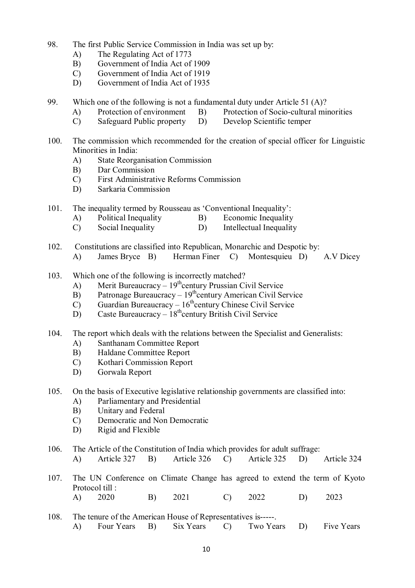- 98. The first Public Service Commission in India was set up by:
	- A) The Regulating Act of 1773
	- B) Government of India Act of 1909
	- C) Government of India Act of 1919
	- D) Government of India Act of 1935
- 99. Which one of the following is not a fundamental duty under Article 51 (A)?
	- A) Protection of environment B) Protection of Socio-cultural minorities
	- C) Safeguard Public property D) Develop Scientific temper
- 100. The commission which recommended for the creation of special officer for Linguistic Minorities in India:
	- A) State Reorganisation Commission
	- B) Dar Commission
	- C) First Administrative Reforms Commission
	- D) Sarkaria Commission
- 101. The inequality termed by Rousseau as 'Conventional Inequality':
	- A) Political Inequality B) Economic Inequality<br>C) Social Inequality D) Intellectual Inequality
	- C) Social Inequality D) Intellectual Inequality
- 102. Constitutions are classified into Republican, Monarchic and Despotic by: A) James Bryce B) Herman Finer C) Montesquieu D) A.V Dicey
- 103. Which one of the following is incorrectly matched?
	- A) Merit Bureaucracy  $19^{th}$ century Prussian Civil Service
	- $B$ ) Patronage Bureaucracy  $19<sup>th</sup>$ century American Civil Service
	- $\overline{C}$  Guardian Bureaucracy 16<sup>th</sup>century Chinese Civil Service
	- $D)$  Caste Bureaucracy  $18^{th}$ century British Civil Service
- 104. The report which deals with the relations between the Specialist and Generalists:
	- A) Santhanam Committee Report
	- B) Haldane Committee Report
	- C) Kothari Commission Report
	- D) Gorwala Report
- 105. On the basis of Executive legislative relationship governments are classified into:
	- A) Parliamentary and Presidential<br>B) Unitary and Federal
	- Unitary and Federal
	- C) Democratic and Non Democratic
	- D) Rigid and Flexible
- 106. The Article of the Constitution of India which provides for adult suffrage:
	- A) Article 327 B) Article 326 C) Article 325 D) Article 324
- 107. The UN Conference on Climate Change has agreed to extend the term of Kyoto Protocol till : A) 2020 B) 2021 C) 2022 D) 2023
- 108. The tenure of the American House of Representatives is-----. A) Four Years B) Six Years C) Two Years D) Five Years